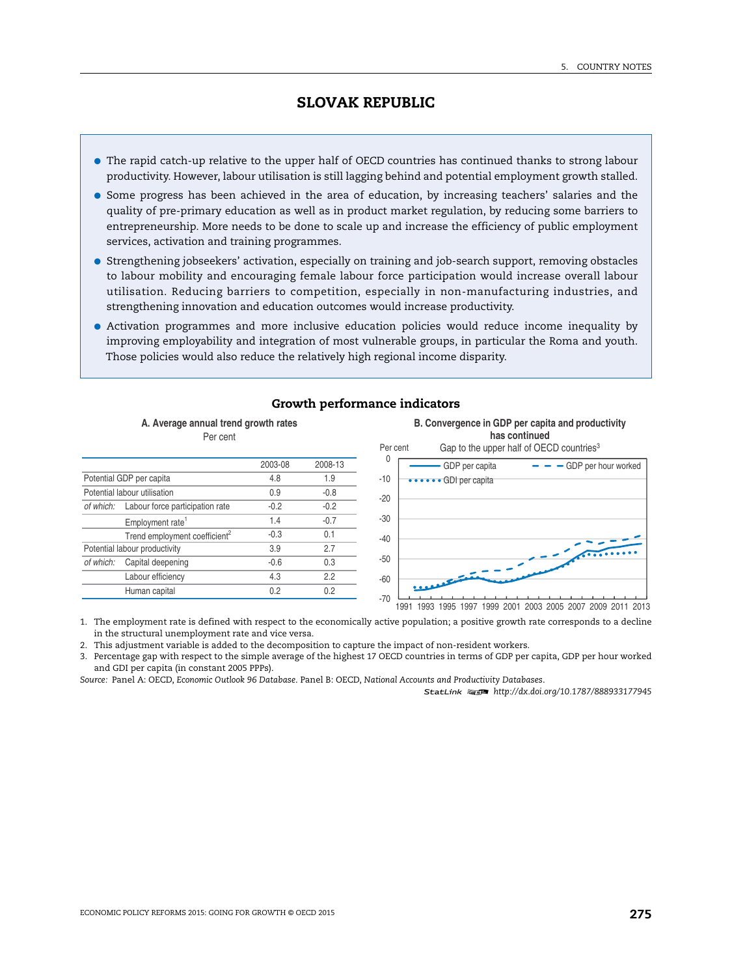- The rapid catch-up relative to the upper half of OECD countries has continued thanks to strong labour productivity. However, labour utilisation is still lagging behind and potential employment growth stalled.
- Some progress has been achieved in the area of education, by increasing teachers' salaries and the quality of pre-primary education as well as in product market regulation, by reducing some barriers to entrepreneurship. More needs to be done to scale up and increase the efficiency of public employment services, activation and training programmes.
- Strengthening jobseekers' activation, especially on training and job-search support, removing obstacles to labour mobility and encouraging female labour force participation would increase overall labour utilisation. Reducing barriers to competition, especially in non-manufacturing industries, and strengthening innovation and education outcomes would increase productivity.
- Activation programmes and more inclusive education policies would reduce income inequality by improving employability and integration of most vulnerable groups, in particular the Roma and youth. Those policies would also reduce the relatively high regional income disparity.



# **Growth performance indicators**

1. The employment rate is defined with respect to the economically active population; a positive growth rate corresponds to a decline in the structural unemployment rate and vice versa.

2. This adjustment variable is added to the decomposition to capture the impact of non-resident workers.

3. Percentage gap with respect to the simple average of the highest 17 OECD countries in terms of GDP per capita, GDP per hour worked and GDI per capita (in constant 2005 PPPs).

*Source:* Panel A: OECD, *Economic Outlook 96 Database*. Panel B: OECD, *National Accounts and Productivity Databases* .

1 2 *<http://dx.doi.org/10.1787/888933177945>*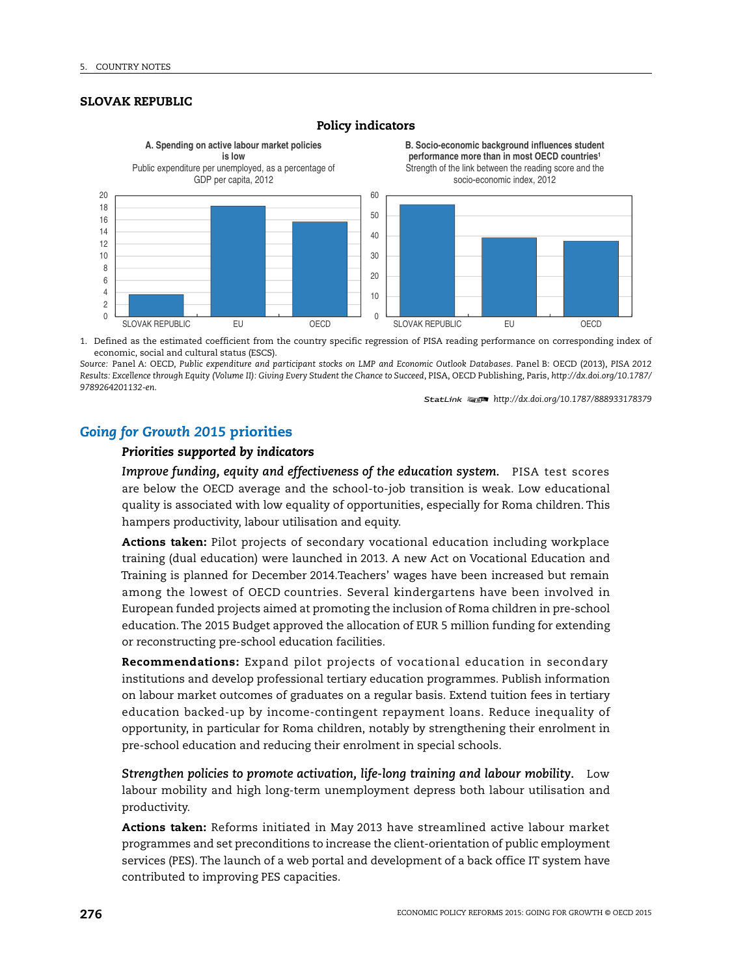

### **Policy indicators**

1. Defined as the estimated coefficient from the country specific regression of PISA reading performance on corresponding index of economic, social and cultural status (ESCS).

*Source:* Panel A: OECD, *Public expenditure and participant stocks on LMP and Economic Outlook Databases*. Panel B: OECD (2013), *PISA 2012 Results: Excellence through Equity (Volume II): Giving Every Student the Chance to Succeed*, PISA, OECD Publishing, Paris, *[http://dx.doi.org/10.1787/](http://dx.doi.org/10.1787/9789264201132-en) [9789264201132-en](http://dx.doi.org/10.1787/9789264201132-en)*.

1 2 *<http://dx.doi.org/10.1787/888933178379>*

# *Going for Growth 2015* **priorities**

# *Priorities supported by indicators*

*Improve funding, equity and effectiveness of the education system.* PISA test scores are below the OECD average and the school-to-job transition is weak. Low educational quality is associated with low equality of opportunities, especially for Roma children. This hampers productivity, labour utilisation and equity.

**Actions taken:** Pilot projects of secondary vocational education including workplace training (dual education) were launched in 2013. A new Act on Vocational Education and Training is planned for December 2014.Teachers' wages have been increased but remain among the lowest of OECD countries. Several kindergartens have been involved in European funded projects aimed at promoting the inclusion of Roma children in pre-school education. The 2015 Budget approved the allocation of EUR 5 million funding for extending or reconstructing pre-school education facilities.

**Recommendations:** Expand pilot projects of vocational education in secondary institutions and develop professional tertiary education programmes. Publish information on labour market outcomes of graduates on a regular basis. Extend tuition fees in tertiary education backed-up by income-contingent repayment loans. Reduce inequality of opportunity, in particular for Roma children, notably by strengthening their enrolment in pre-school education and reducing their enrolment in special schools.

*Strengthen policies to promote activation, life-long training and labour mobility.* Low labour mobility and high long-term unemployment depress both labour utilisation and productivity.

**Actions taken:** Reforms initiated in May 2013 have streamlined active labour market programmes and set preconditions to increase the client-orientation of public employment services (PES). The launch of a web portal and development of a back office IT system have contributed to improving PES capacities.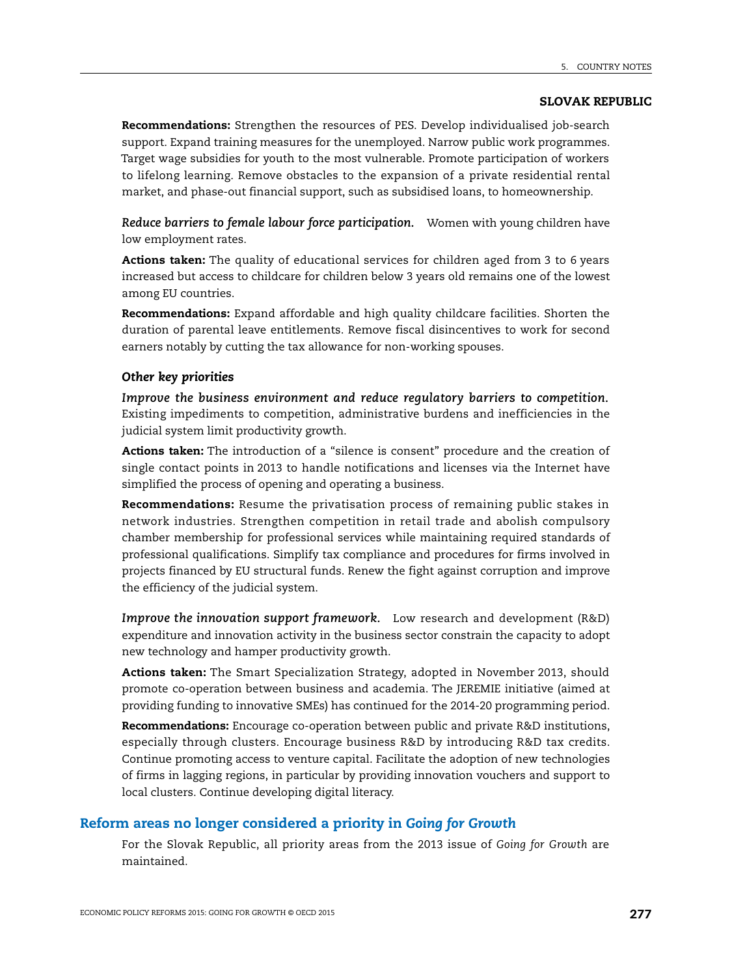**Recommendations:** Strengthen the resources of PES. Develop individualised job-search support. Expand training measures for the unemployed. Narrow public work programmes. Target wage subsidies for youth to the most vulnerable. Promote participation of workers to lifelong learning. Remove obstacles to the expansion of a private residential rental market, and phase-out financial support, such as subsidised loans, to homeownership.

*Reduce barriers to female labour force participation.* Women with young children have low employment rates.

**Actions taken:** The quality of educational services for children aged from 3 to 6 years increased but access to childcare for children below 3 years old remains one of the lowest among EU countries.

**Recommendations:** Expand affordable and high quality childcare facilities. Shorten the duration of parental leave entitlements. Remove fiscal disincentives to work for second earners notably by cutting the tax allowance for non-working spouses.

## *Other key priorities*

*Improve the business environment and reduce regulatory barriers to competition.* Existing impediments to competition, administrative burdens and inefficiencies in the judicial system limit productivity growth.

**Actions taken:** The introduction of a "silence is consent" procedure and the creation of single contact points in 2013 to handle notifications and licenses via the Internet have simplified the process of opening and operating a business.

**Recommendations:** Resume the privatisation process of remaining public stakes in network industries. Strengthen competition in retail trade and abolish compulsory chamber membership for professional services while maintaining required standards of professional qualifications. Simplify tax compliance and procedures for firms involved in projects financed by EU structural funds. Renew the fight against corruption and improve the efficiency of the judicial system.

*Improve the innovation support framework.* Low research and development (R&D) expenditure and innovation activity in the business sector constrain the capacity to adopt new technology and hamper productivity growth.

**Actions taken:** The Smart Specialization Strategy, adopted in November 2013, should promote co-operation between business and academia. The JEREMIE initiative (aimed at providing funding to innovative SMEs) has continued for the 2014-20 programming period.

**Recommendations:** Encourage co-operation between public and private R&D institutions, especially through clusters. Encourage business R&D by introducing R&D tax credits. Continue promoting access to venture capital. Facilitate the adoption of new technologies of firms in lagging regions, in particular by providing innovation vouchers and support to local clusters. Continue developing digital literacy.

# **Reform areas no longer considered a priority in** *Going for Growth*

For the Slovak Republic, all priority areas from the 2013 issue of *Going for Growth* are maintained.